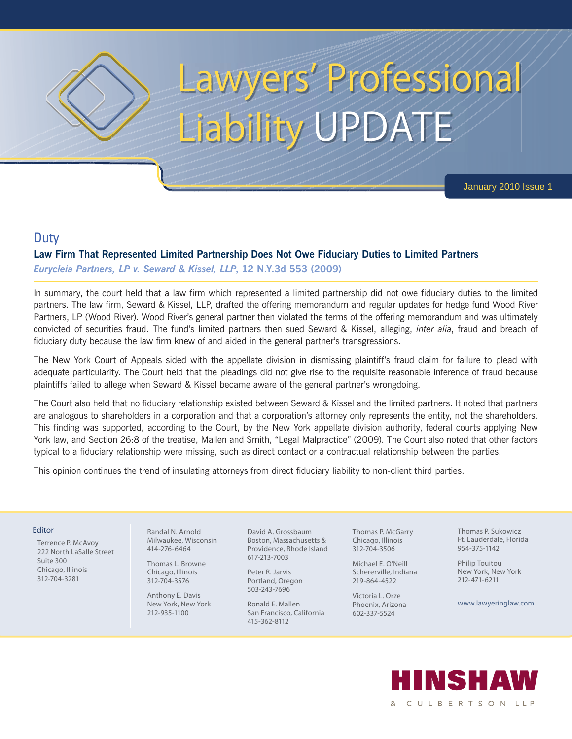

# Lawyers' Professional Liability UPDATE

January 2010 Issue 1

## **Duty**

#### **Law Firm That Represented Limited Partnership Does Not Owe Fiduciary Duties to Limited Partners**

*Eurycleia Partners, LP v. Seward & Kissel, LLP***, 12 N.Y.3d 553 (2009)**

In summary, the court held that a law firm which represented a limited partnership did not owe fiduciary duties to the limited partners. The law firm, Seward & Kissel, LLP, drafted the offering memorandum and regular updates for hedge fund Wood River Partners, LP (Wood River). Wood River's general partner then violated the terms of the offering memorandum and was ultimately convicted of securities fraud. The fund's limited partners then sued Seward & Kissel, alleging, *inter alia*, fraud and breach of fiduciary duty because the law firm knew of and aided in the general partner's transgressions.

The New York Court of Appeals sided with the appellate division in dismissing plaintiff's fraud claim for failure to plead with adequate particularity. The Court held that the pleadings did not give rise to the requisite reasonable inference of fraud because plaintiffs failed to allege when Seward & Kissel became aware of the general partner's wrongdoing.

The Court also held that no fiduciary relationship existed between Seward & Kissel and the limited partners. It noted that partners are analogous to shareholders in a corporation and that a corporation's attorney only represents the entity, not the shareholders. This finding was supported, according to the Court, by the New York appellate division authority, federal courts applying New York law, and Section 26:8 of the treatise, Mallen and Smith, "Legal Malpractice" (2009). The Court also noted that other factors typical to a fiduciary relationship were missing, such as direct contact or a contractual relationship between the parties.

This opinion continues the trend of insulating attorneys from direct fiduciary liability to non-client third parties.

#### Editor

Terrence P. McAvoy 222 North LaSalle Street Suite 300 Chicago, Illinois 312-704-3281

 Randal N. Arnold Milwaukee, Wisconsin 414-276-6464

 Thomas L. Browne Chicago, Illinois 312-704-3576

 Anthony E. Davis New York, New York 212-935-1100

David A. Grossbaum Boston, Massachusetts & Providence, Rhode Island 617-213-7003

Peter R. Jarvis Portland, Oregon 503-243-7696

Ronald E. Mallen San Francisco, California 415-362-8112

Thomas P. McGarry Chicago, Illinois 312-704-3506

Michael E. O'Neill Schererville, Indiana 219-864-4522

Victoria L. Orze Phoenix, Arizona 602-337-5524

Thomas P. Sukowicz Ft. Lauderdale, Florida 954-375-1142

Philip Touitou New York, New York 212-471-6211

www.lawyeringlaw.com

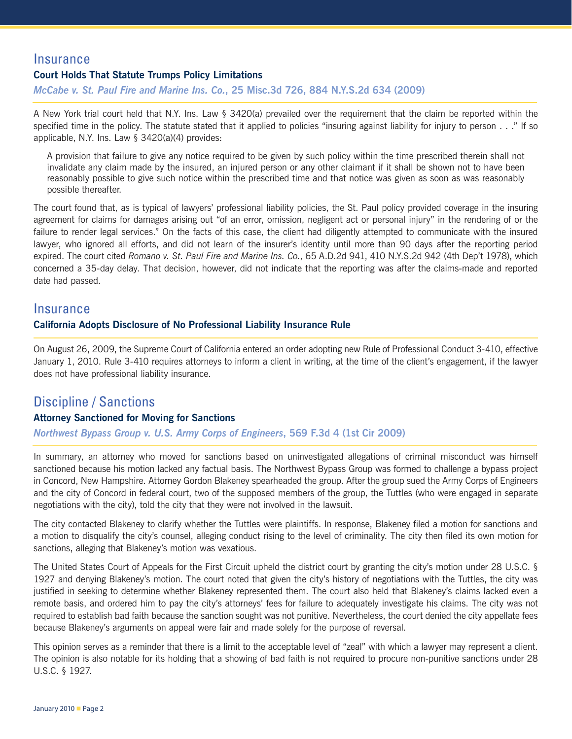## **Insurance**

#### **Court Holds That Statute Trumps Policy Limitations**

*McCabe v. St. Paul Fire and Marine Ins. Co.***, 25 Misc.3d 726, 884 N.Y.S.2d 634 (2009)**

A New York trial court held that N.Y. Ins. Law § 3420(a) prevailed over the requirement that the claim be reported within the specified time in the policy. The statute stated that it applied to policies "insuring against liability for injury to person . . ." If so applicable, N.Y. Ins. Law § 3420(a)(4) provides:

A provision that failure to give any notice required to be given by such policy within the time prescribed therein shall not invalidate any claim made by the insured, an injured person or any other claimant if it shall be shown not to have been reasonably possible to give such notice within the prescribed time and that notice was given as soon as was reasonably possible thereafter.

The court found that, as is typical of lawyers' professional liability policies, the St. Paul policy provided coverage in the insuring agreement for claims for damages arising out "of an error, omission, negligent act or personal injury" in the rendering of or the failure to render legal services." On the facts of this case, the client had diligently attempted to communicate with the insured lawyer, who ignored all efforts, and did not learn of the insurer's identity until more than 90 days after the reporting period expired. The court cited *Romano v. St. Paul Fire and Marine Ins. Co.*, 65 A.D.2d 941, 410 N.Y.S.2d 942 (4th Dep't 1978), which concerned a 35-day delay. That decision, however, did not indicate that the reporting was after the claims-made and reported date had passed.

#### **Insurance**

#### **California Adopts Disclosure of No Professional Liability Insurance Rule**

On August 26, 2009, the Supreme Court of California entered an order adopting new Rule of Professional Conduct 3-410, effective January 1, 2010. Rule 3-410 requires attorneys to inform a client in writing, at the time of the client's engagement, if the lawyer does not have professional liability insurance.

## Discipline / Sanctions

#### **Attorney Sanctioned for Moving for Sanctions**

#### *Northwest Bypass Group v. U.S. Army Corps of Engineers***, 569 F.3d 4 (1st Cir 2009)**

In summary, an attorney who moved for sanctions based on uninvestigated allegations of criminal misconduct was himself sanctioned because his motion lacked any factual basis. The Northwest Bypass Group was formed to challenge a bypass project in Concord, New Hampshire. Attorney Gordon Blakeney spearheaded the group. After the group sued the Army Corps of Engineers and the city of Concord in federal court, two of the supposed members of the group, the Tuttles (who were engaged in separate negotiations with the city), told the city that they were not involved in the lawsuit.

The city contacted Blakeney to clarify whether the Tuttles were plaintiffs. In response, Blakeney filed a motion for sanctions and a motion to disqualify the city's counsel, alleging conduct rising to the level of criminality. The city then filed its own motion for sanctions, alleging that Blakeney's motion was vexatious.

The United States Court of Appeals for the First Circuit upheld the district court by granting the city's motion under 28 U.S.C. § 1927 and denying Blakeney's motion. The court noted that given the city's history of negotiations with the Tuttles, the city was justified in seeking to determine whether Blakeney represented them. The court also held that Blakeney's claims lacked even a remote basis, and ordered him to pay the city's attorneys' fees for failure to adequately investigate his claims. The city was not required to establish bad faith because the sanction sought was not punitive. Nevertheless, the court denied the city appellate fees because Blakeney's arguments on appeal were fair and made solely for the purpose of reversal.

This opinion serves as a reminder that there is a limit to the acceptable level of "zeal" with which a lawyer may represent a client. The opinion is also notable for its holding that a showing of bad faith is not required to procure non-punitive sanctions under 28 U.S.C. § 1927.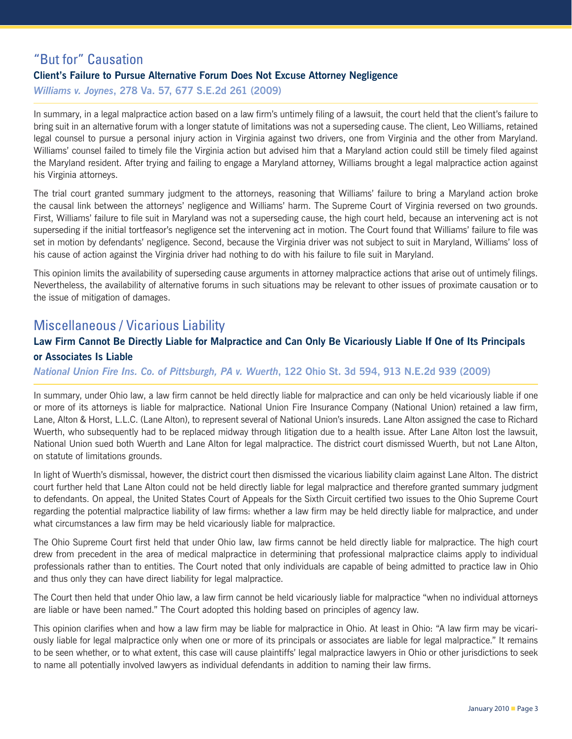## "But for" Causation **Client's Failure to Pursue Alternative Forum Does Not Excuse Attorney Negligence** *Williams v. Joynes***, 278 Va. 57, 677 S.E.2d 261 (2009)**

In summary, in a legal malpractice action based on a law firm's untimely filing of a lawsuit, the court held that the client's failure to bring suit in an alternative forum with a longer statute of limitations was not a superseding cause. The client, Leo Williams, retained legal counsel to pursue a personal injury action in Virginia against two drivers, one from Virginia and the other from Maryland. Williams' counsel failed to timely file the Virginia action but advised him that a Maryland action could still be timely filed against the Maryland resident. After trying and failing to engage a Maryland attorney, Williams brought a legal malpractice action against his Virginia attorneys.

The trial court granted summary judgment to the attorneys, reasoning that Williams' failure to bring a Maryland action broke the causal link between the attorneys' negligence and Williams' harm. The Supreme Court of Virginia reversed on two grounds. First, Williams' failure to file suit in Maryland was not a superseding cause, the high court held, because an intervening act is not superseding if the initial tortfeasor's negligence set the intervening act in motion. The Court found that Williams' failure to file was set in motion by defendants' negligence. Second, because the Virginia driver was not subject to suit in Maryland, Williams' loss of his cause of action against the Virginia driver had nothing to do with his failure to file suit in Maryland.

This opinion limits the availability of superseding cause arguments in attorney malpractice actions that arise out of untimely filings. Nevertheless, the availability of alternative forums in such situations may be relevant to other issues of proximate causation or to the issue of mitigation of damages.

## Miscellaneous / Vicarious Liability

### **Law Firm Cannot Be Directly Liable for Malpractice and Can Only Be Vicariously Liable If One of Its Principals or Associates Is Liable**

*National Union Fire Ins. Co. of Pittsburgh, PA v. Wuerth***, 122 Ohio St. 3d 594, 913 N.E.2d 939 (2009)**

In summary, under Ohio law, a law firm cannot be held directly liable for malpractice and can only be held vicariously liable if one or more of its attorneys is liable for malpractice. National Union Fire Insurance Company (National Union) retained a law firm, Lane, Alton & Horst, L.L.C. (Lane Alton), to represent several of National Union's insureds. Lane Alton assigned the case to Richard Wuerth, who subsequently had to be replaced midway through litigation due to a health issue. After Lane Alton lost the lawsuit, National Union sued both Wuerth and Lane Alton for legal malpractice. The district court dismissed Wuerth, but not Lane Alton, on statute of limitations grounds.

In light of Wuerth's dismissal, however, the district court then dismissed the vicarious liability claim against Lane Alton. The district court further held that Lane Alton could not be held directly liable for legal malpractice and therefore granted summary judgment to defendants. On appeal, the United States Court of Appeals for the Sixth Circuit certified two issues to the Ohio Supreme Court regarding the potential malpractice liability of law firms: whether a law firm may be held directly liable for malpractice, and under what circumstances a law firm may be held vicariously liable for malpractice.

The Ohio Supreme Court first held that under Ohio law, law firms cannot be held directly liable for malpractice. The high court drew from precedent in the area of medical malpractice in determining that professional malpractice claims apply to individual professionals rather than to entities. The Court noted that only individuals are capable of being admitted to practice law in Ohio and thus only they can have direct liability for legal malpractice.

The Court then held that under Ohio law, a law firm cannot be held vicariously liable for malpractice "when no individual attorneys are liable or have been named." The Court adopted this holding based on principles of agency law.

This opinion clarifies when and how a law firm may be liable for malpractice in Ohio. At least in Ohio: "A law firm may be vicariously liable for legal malpractice only when one or more of its principals or associates are liable for legal malpractice." It remains to be seen whether, or to what extent, this case will cause plaintiffs' legal malpractice lawyers in Ohio or other jurisdictions to seek to name all potentially involved lawyers as individual defendants in addition to naming their law firms.